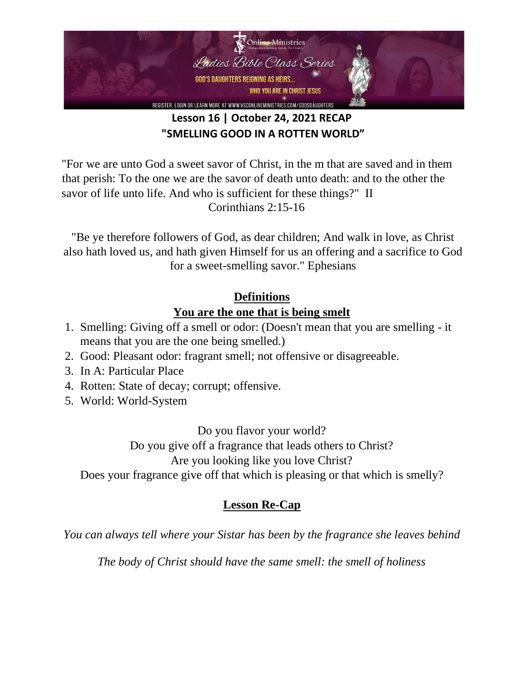

# **Lesson 16 | October 24, 2021 RECAP "SMELLING GOOD IN A ROTTEN WORLD"**

"For we are unto God a sweet savor of Christ, in the m that are saved and in them that perish: To the one we are the savor of death unto death: and to the other the savor of life unto life. And who is sufficient for these things?" II Corinthians 2:15-16

"Be ye therefore followers of God, as dear children; And walk in love, as Christ also hath loved us, and hath given Himself for us an offering and a sacrifice to God for a sweet-smelling savor." Ephesians

## **Definitions You are the one that is being smelt**

- 1. Smelling: Giving off a smell or odor: (Doesn't mean that you are smelling it means that you are the one being smelled.)
- 2. Good: Pleasant odor: fragrant smell; not offensive or disagreeable.
- 3. In A: Particular Place
- 4. Rotten: State of decay; corrupt; offensive.
- 5. World: World-System

Do you flavor your world?

Do you give off a fragrance that leads others to Christ?

Are you looking like you love Christ?

Does your fragrance give off that which is pleasing or that which is smelly?

## **Lesson Re-Cap**

*You can always tell where your Sistar has been by the fragrance she leaves behind* 

*The body of Christ should have the same smell: the smell of holiness*